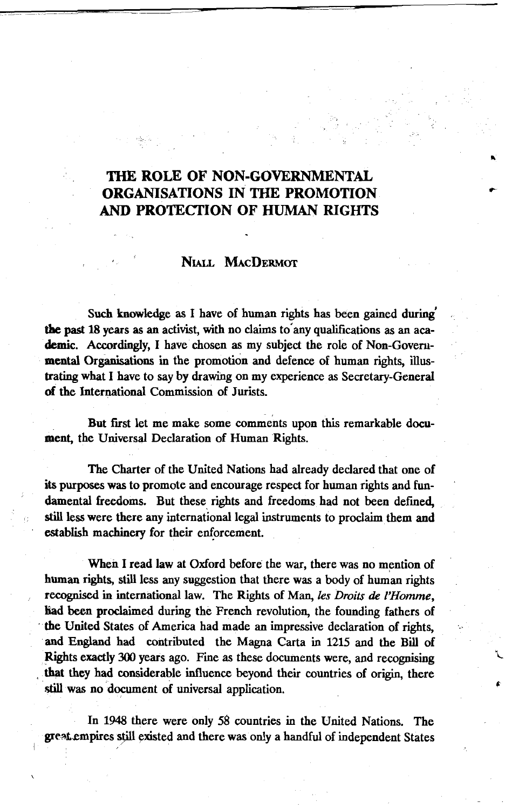# **THE ROLE OF NON-GOVERNMENTAL ORGANISATIONS IN THE PROMOTION AND PROTECTION OF HUMAN RIGHTS**

## NIALL MACDERMOT

Such knowledge as I have of human rights has been gained during' the past 18 years as an activist, with no claims to any qualifications as an academic. Accordingly, I have chosen as my subject the role of Non-Governmental Organisations in the promotion and defence of human rights, illustrating what I have to say by drawing on my experience as Secretary-General of the International Commission of Jurists.

But first let me make some comments upon this remarkable document, the Universal Declaration of Human Rights.

The Charter of the United Nations had already declared that one of its purposes was to promote and encourage respect for human rights and fundamental freedoms. But these rights and freedoms had not been defined, still less were there any international legal instruments to proclaim them and establish machinery for their enforcement.

When I read law at Oxford before the war, there was no mention of human rights, still less any suggestion that there was a body of human rights recognised in international law. The Rights of Man, *les Droits de VHomme,* had been proclaimed during the French revolution, the founding fathers of the United States of America had made an impressive declaration of rights, and England had contributed the Magna Carta in 1215 and the Bill of Rights exactly 300 years ago. Fine as these documents were, and recognising that they had considerable influence beyond their countries of origin, there still was no document of universal application.

In 1948 there were only 58 countries in the United Nations. The great empires still existed and there was only a handful of independent States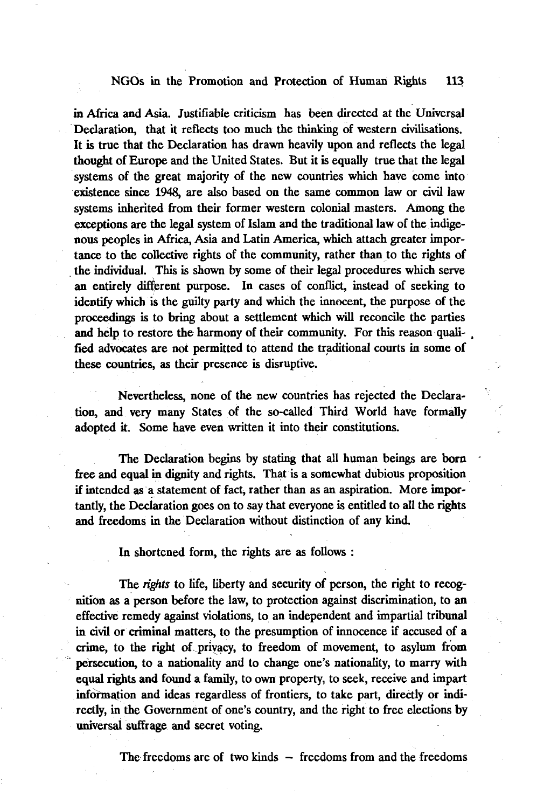in Africa and Asia. Justifiable criticism has been directed at the Universal Declaration, that it reflects too much the thinking of western civilisations. It is true that the Declaration has drawn heavily upon and reflects the legal thought of Europe and the United States. But it is equally true that the legal systems of the great majority of the new countries which have come into existence since 1948, are also based on the same common law or civil law systems inherited from their former western colonial masters. Among the exceptions are the legal system of Islam and the traditional law of the indigenous peoples in Africa, Asia and Latin America, which attach greater importance to the collective rights of the community, rather than to the rights of the individual. This is shown by some of their legal procedures which serve an entirely different purpose. In cases of conflict, instead of seeking to identify which is the guilty party and which the innocent, the purpose of the proceedings is to bring about a settlement which will reconcile the parties and help to restore the harmony of their community. For this reason quali- , fied advocates are not permitted to attend the traditional courts in some of these countries, as their presence is disruptive.

Nevertheless, none of the new countries has rejected the Declaration, and very many States of the so-called Third World have formally adopted it. Some have even written it into their constitutions.

The Declaration begins by stating that all human beings are born free and equal in dignity and rights. That is a somewhat dubious proposition if intended as a statement of fact, rather than as an aspiration. More importantly, the Declaration goes on to say that everyone is entitled to all the rights and freedoms in the Declaration without distinction of any kind.

In shortened form, the rights are as follows :

The *rights* to life, liberty and security of person, the right to recognition as a person before the law, to protection against discrimination, to an effective remedy against violations, to an independent and impartial tribunal in civil or criminal matters, to the presumption of innocence if accused of a crime, to the right of privacy, to freedom of movement, to asylum from persecution, to a nationality and to change one's nationality, to marry with equal rights and found a family, to own property, to seek, receive and impart information and ideas regardless of frontiers, to take part, directly or indirectly, in the Government of one's country, and the right to free elections by universal suffrage and secret voting.

The freedoms are of two kinds — freedoms from and the freedoms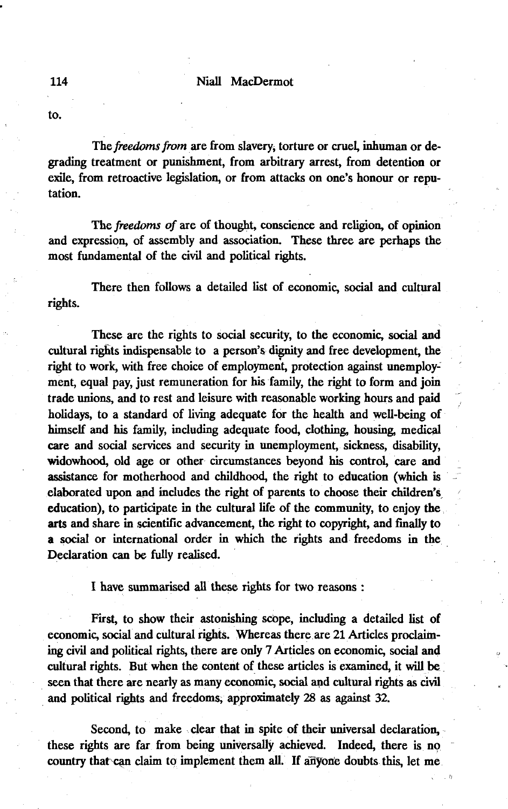to.

The *freedoms from* are from slavery, torture or cruel, inhuman or degrading treatment or punishment, from arbitrary arrest, from detention or exile, from retroactive legislation, or from attacks on one's honour or reputation.

The *freedoms of* are of thought, conscience and religion, of opinion and expression, of assembly and association. These three are perhaps the most fundamental of the civil and political rights.

There then follows a detailed list of economic, social and cultural rights.

These are the rights to social security, to the economic, social and cultural rights indispensable to a person's dignity and free development, the right to work, with free choice of employment, protection against unemployment, equal pay, just remuneration for his family, the right to form and join trade unions, and to rest and leisure with reasonable working hours and paid holidays, to a standard of living adequate for the health and well-being of himself and his family, including adequate food, clothing, housing, medical care and social services and security in unemployment, sickness, disability, widowhood, old age or other circumstances beyond his control, care and assistance for motherhood and childhood, the right to education (which is elaborated upon and includes the right of parents to choose their children's education), to participate in the cultural life of the community, to enjoy the arts and share in scientific advancement, the right to copyright, and finally to a social or international order in which the rights and freedoms in the Declaration can be fully realised.

I have summarised all these rights for two reasons :

First, to show their astonishing scope, including a detailed list of economic, social and cultural rights. Whereas there are 21 Articles proclaiming civil and political rights, there are only 7 Articles on economic, social and cultural rights. But when the content of these articles is examined, it will be seen that there are nearly as many economic, social and cultural rights as civil and political rights and freedoms, approximately 28 as against 32.

Second, to make clear that in spite of their universal declaration, these rights are far from being universally achieved. Indeed, there is no country that can claim to implement them all. If anyone doubts this, let me

114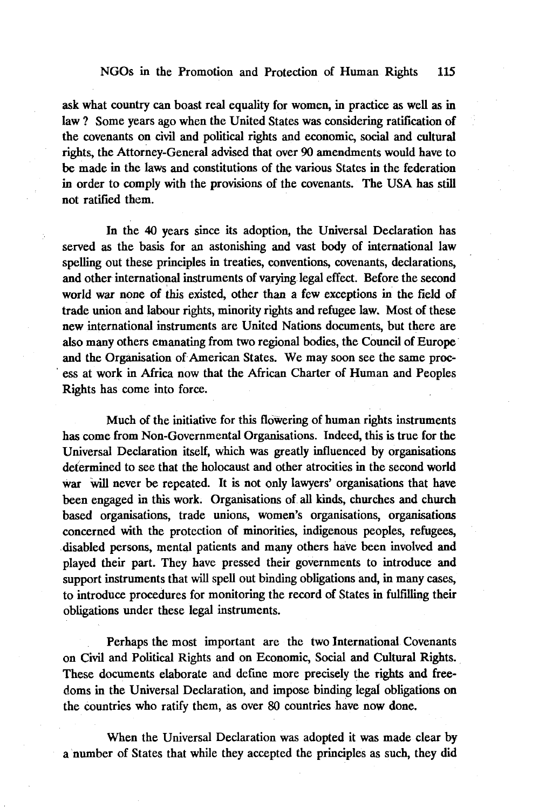ask what country can boast real equality for women, in practice as well as in law ? Some years ago when the United States was considering ratification of the covenants on civil and political rights and economic, social and cultural rights, the Attorney-General advised that over 90 amendments would have to be made in the laws and constitutions of the various States in the federation in order to comply with the provisions of the covenants. The USA has still not ratified them.

In the 40 years since its adoption, the Universal Declaration has served as the basis for an astonishing and vast body of international law spelling out these principles in treaties, conventions, covenants, declarations, and other international instruments of varying legal effect. Before the second world war none of this existed, other than a few exceptions in the field of trade union and labour rights, minority rights and refugee law. Most of these new international instruments are United Nations documents, but there are also many others emanating from two regional bodies, the Council of Europe and the Organisation of American States. We may soon see the same process at work in Africa now that the African Charter of Human and Peoples Rights has come into force.

Much of the initiative for this flowering of human rights instruments has come from Non-Governmental Organisations. Indeed, this is true for the Universal Declaration itself, which was greatly influenced by organisations determined to see that the holocaust and other atrocities in the second world war will never be repeated. It is not only lawyers' organisations that have been engaged in this work. Organisations of all kinds, churches and church based organisations, trade unions, women's organisations, organisations concerned with the protection of minorities, indigenous peoples, refugees, disabled persons, mental patients and many others have been involved and played their part. They have pressed their governments to introduce and support instruments that will spell out binding obligations and, in many cases, to introduce procedures for monitoring the record of States in fulfilling their obligations under these legal instruments.

Perhaps the most important are the two International Covenants on Civil and Political Rights and on Economic, Social and Cultural Rights. These documents elaborate and define more precisely the rights and freedoms in the Universal Declaration, and impose binding legal obligations on the countries who ratify them, as over 80 countries have now done.

When the Universal Declaration was adopted it was made clear by a number of States that while they accepted the principles as such, they did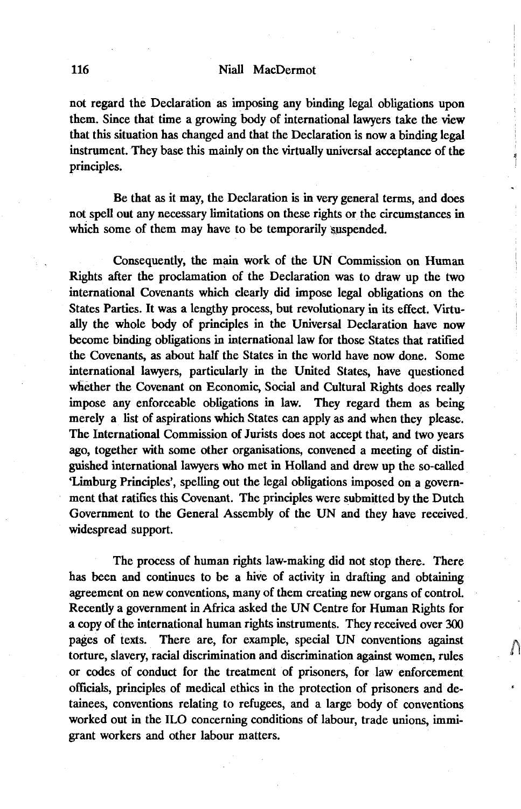not regard the Declaration as imposing any binding legal obligations upon them. Since that time a growing body of international lawyers take the view that this situation has changed and that the Declaration is now a binding legal instrument. They base this mainly on the virtually universal acceptance of the principles.

Be that as it may, the Declaration is in very general terms, and does not spell out any necessary limitations on these rights or the circumstances in which some of them may have to be temporarily suspended.

Consequently, the main work of the UN Commission on Human Rights after the proclamation of the Declaration was to draw up the two international Covenants which clearly did impose legal obligations on the States Parties. It was a lengthy process, but revolutionary in its effect. Virtually the whole body of principles in the Universal Declaration have now become binding obligations in international law for those States that ratified the Covenants, as about half the States in the world have now done. Some international lawyers, particularly in the United States, have questioned whether the Covenant on Economic, Social and Cultural Rights does really impose any enforceable obligations in law. They regard them as being merely a list of aspirations which States can apply as and when they please. The International Commission of Jurists does not accept that, and two years ago, together with some other organisations, convened a meeting of distinguished international lawyers who met in Holland and drew up the so-called 'Limburg Principles', spelling out the legal obligations imposed on a government that ratifies this Covenant. The principles were submitted by the Dutch Government to the General Assembly of the UN and they have received, widespread support.

The process of human rights law-making did not stop there. There has been and continues to be a hive of activity in drafting and obtaining agreement on new conventions, many of them creating new organs of control. Recently a government in Africa asked the UN Centre for Human Rights for a copy of the international human rights instruments. They received over 300 pages of texts. There are, for example, special UN conventions against torture, slavery, racial discrimination and discrimination against women, rules or codes of conduct for the treatment of prisoners, for law enforcement officials, principles of medical ethics in the protection of prisoners and detainees, conventions relating to refugees, and a large body of conventions worked out in the ILO concerning conditions of labour, trade unions, immigrant workers and other labour matters.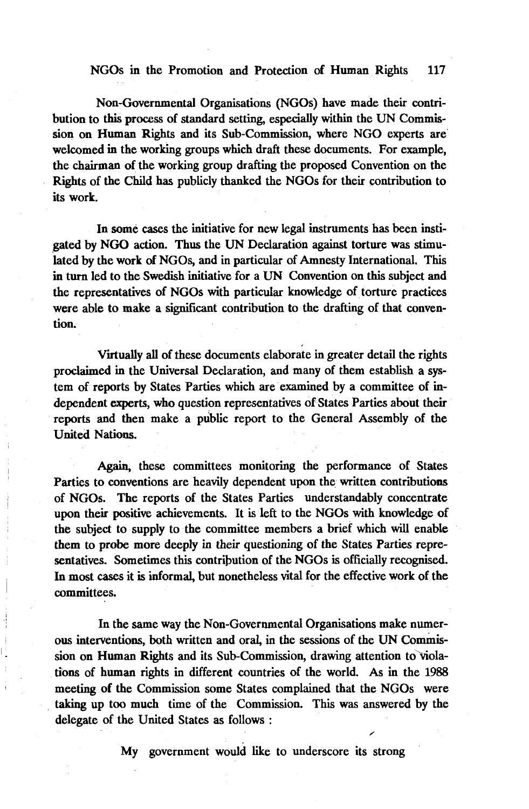Non-Governmental Organisations (NGOs) have made their contribution to this process of standard setting, especially within the UN Commission on Human Rights and its Sub-Commission, where NGO experts are welcomed in the working groups which draft these documents. For example, the chairman of the working group drafting the proposed Convention on the Rights of the Child has publicly thanked the NGOs for their contribution to its work.

In some cases the initiative for new legal instruments has been instigated by NGO action. Thus the UN Declaration against torture was stimulated by the work of NGOs, and in particular of Amnesty International. This in turn led to the Swedish initiative for a UN Convention on this subject and the representatives of NGOs with particular knowledge of torture practices were able to make a significant contribution to the drafting of that convention.

Virtually all of these documents elaborate in greater detail the rights proclaimed in the Universal Declaration, and many of them establish a system of reports by States Parties which are examined by a committee of independent experts, who question representatives of States Parties about their reports and then make a public report to the General Assembly of the United Nations.

Again, these committees monitoring the performance of States Parties to conventions are heavily dependent upon the written contributions of NGOs. The reports of the States Parties understandably concentrate upon their positive achievements. It is left to the NGOs with knowledge of the subject to supply to the committee members a brief which will enable them to probe more deeply in their questioning of the States Parties representatives. Sometimes this contribution of the NGOs is officially recognised. In most cases it is informal, but nonetheless vital for the effective work of the committees.

In the same way the Non-Governmental Organisations make numerous interventions, both written and oral, in the sessions of the UN Commission on Human Rights and its Sub-Commission, drawing attention to violations of human rights in different countries of the world. As in the 1988 meeting of the Commission some States complained that the NGOs were taking up too much time of the Commission. This was answered by the delegate of the United States as follows :

My government would like to underscore its strong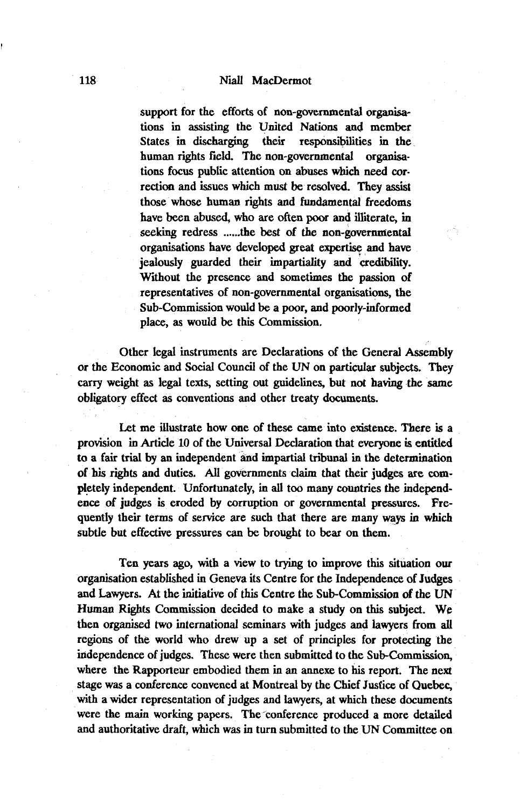support for the efforts of non-governmental organisations in assisting the United Nations and member States in discharging their responsibilities in the human rights field. The non-governmental organisations focus public attention on abuses which need correction and issues which must be resolved. They assist those whose human rights and fundamental freedoms have been abused, who are often poor and illiterate, in seeking redress .....the best of the non-governmental organisations have developed great expertise and have jealously guarded their impartiality and credibility. Without the presence and sometimes the passion of representatives of non-governmental organisations, the Sub-Commission would be a poor, and poorly-informed place, as would be this Commission.

Other legal instruments are Declarations of the General Assembly or the Economic and Social Council of the UN on particular subjects. They carry weight as legal texts, setting out guidelines, but not having the same obligatory effect as conventions and other treaty documents.

Let me illustrate how one of these came into existence. There is a provision in Article 10 of the Universal Declaration that everyone is entitled to a fair trial by an independent and impartial tribunal in the determination of his rights and duties. All governments claim that their judges are completely independent. Unfortunately, in all too many countries the independence of judges is eroded by corruption or governmental pressures. Frequently their terms of service are such that there are many ways in which subtle but effective pressures can be brought to bear on them.

Ten years ago, with a view to trying to improve this situation our organisation established in Geneva its Centre for the Independence of Judges and Lawyers. At the initiative of this Centre the Sub-Commission of the UN Human Rights Commission decided to make a study on this subject. We then organised two international seminars with judges and lawyers from all regions of the world who drew up a set of principles for protecting the independence of judges. These were then submitted to the Sub-Commission, where the Rapporteur embodied them in an annexe to his report. The next stage was a conference convened at Montreal by the Chief Justice of Quebec, with a wider representation of judges and lawyers, at which these documents were the main working papers. The conference produced a more detailed and authoritative draft, which was in turn submitted to the UN Committee on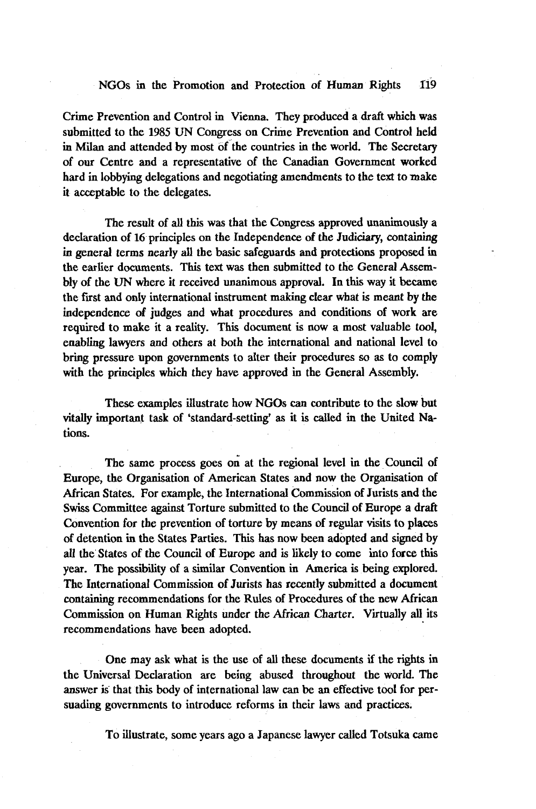Crime Prevention and Control in Vienna. They produced a draft which was submitted to the 1985 UN Congress on Crime Prevention and Control held in Milan and attended by most of the countries in the world. The Secretary of our Centre and a representative of the Canadian Government worked hard in lobbying delegations and negotiating amendments to the text to make it acceptable to the delegates.

The result of all this was that the Congress approved unanimously a declaration of 16 principles on the Independence of the Judiciary, containing in general terms nearly all the basic safeguards and protections proposed in the earlier documents. This text was then submitted to the General Assembly of the UN where it received unanimous approval. In this way it became the first and only international instrument making clear what is meant by the independence of judges and what procedures and conditions of work are required to make it a reality. This document is now a most valuable tool, enabling lawyers and others at both the international and national level to bring pressure upon governments to alter their procedures so as to comply with the principles which they have approved in the General Assembly.

These examples illustrate how NGOs can contribute to the slow but vitally important task of 'standard-setting' as it is called in the United Nations.

The same process goes on at the regional level in the Council of Europe, the Organisation of American States and now the Organisation of African States. For example, the International Commission of Jurists and the Swiss Committee against Torture submitted to the Council of Europe a draft Convention for the prevention of torture by means of regular visits to places of detention in the States Parties. This has now been adopted and signed by all the States of the Council of Europe and is likely to come into force tins year. The possibility of a similar Convention in America is being explored. The International Commission of Jurists has recently submitted a document containing recommendations for the Rules of Procedures of the new African Commission on Human Rights under the African Charter. Virtually all its recommendations have been adopted.

One may ask what is the use of all these documents if the rights in the Universal Declaration are being abused throughout the world. The answer is that this body of international law can be an effective tool for persuading governments to introduce reforms in their laws and practices.

To illustrate, some years ago a Japanese lawyer called Totsuka came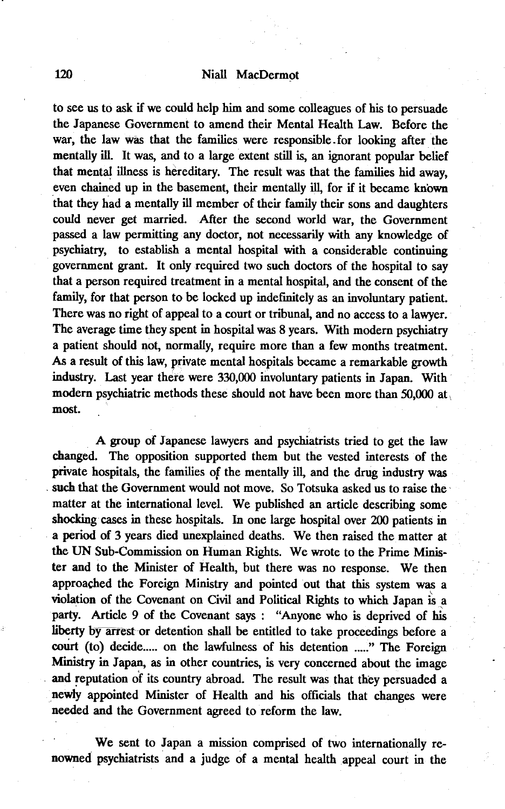to see us to ask if we could help him and some colleagues of his to persuade the Japanese Government to amend their Mental Health Law. Before the war, the law was that the families were responsible.for looking after the mentally ill. It was, and to a large extent still is, an ignorant popular belief that mental illness is hereditary. The result was that the families hid away, even chained up in the basement, their mentally ill, for if it became known that they had a mentally ill member of their family their sons and daughters could never get married. After the second world war, the Government passed a law permitting any doctor, not necessarily with any knowledge of psychiatry, to establish a mental hospital with a considerable continuing government grant. It only required two such doctors of the hospital to say that a person required treatment in a mental hospital, and the consent of the family, for that person to be locked up indefinitely as an involuntary patient. There was no right of appeal to a court or tribunal, and no access to a lawyer. The average time they spent in hospital was 8 years. With modern psychiatry a patient should not, normally, require more than a few months treatment. As a result of this law, private mental hospitals became a remarkable growth industry. Last year there were 330,000 involuntary patients in Japan. With modern psychiatric methods these should not have been more than 50,000 at most.

A group of Japanese lawyers and psychiatrists tried to get the law changed. The opposition supported them but the vested interests of the private hospitals, the families of the mentally ill, and the drug industry was such that the Government would not move. So Totsuka asked us to raise the matter at the international level. We published an article describing some shocking cases in these hospitals. In one large hospital over 200 patients in a period of 3 years died unexplained deaths. We then raised the matter at the UN Sub-Commission on Human Rights. We wrote to the Prime Minister and to the Minister of Health, but there was no response. We then approached the Foreign Ministry and pointed out that this system was a violation of the Covenant on Civil and Political Rights to which Japan is a party. Article 9 of the Covenant says : "Anyone who is deprived of his liberty by arrest or detention shall be entitled to take proceedings before a court (to) decide.... on the lawfulness of his detention ...." The Foreign Ministry in Japan, as in other countries, is very concerned about the image and reputation of its country abroad. The result was that they persuaded a newly appointed Minister of Health and his officials that changes were needed and the Government agreed to reform the law.

We sent to Japan a mission comprised of two internationally renowned psychiatrists and a judge of a mental health appeal court in the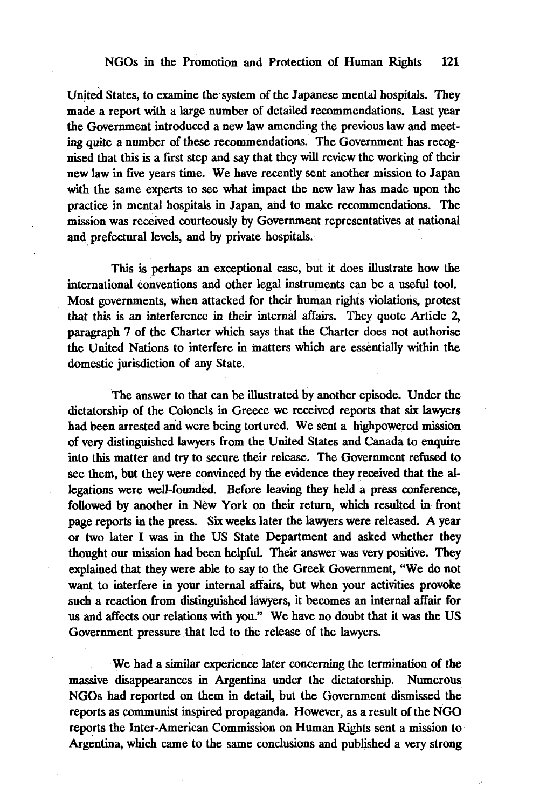United States, to examine the system of the Japanese mental hospitals. They made a report with a large number of detailed recommendations. Last year the Government introduced a new law amending the previous law and meeting quite a number of these recommendations. The Government has recognised that this is a first step and say that they will review the working of their new law in five years time. We have recently sent another mission to Japan with the same experts to see what impact the new law has made upon the practice in mental hospitals in Japan, and to make recommendations. The mission was received courteously by Government representatives at national and, prefectural levels, and by private hospitals.

This is perhaps an exceptional case, but it does illustrate how the international conventions and other legal instruments can be a useful tool. Most governments, when attacked for their human rights violations, protest that this is an interference in their internal affairs. They quote Article 2, paragraph 7 of the Charter which says that the Charter does not authorise the United Nations to interfere in matters which are essentially within the domestic jurisdiction of any State.

The answer to that can be illustrated by another episode. Under the dictatorship of the Colonels in Greece we received reports that six lawyers had been arrested and were being tortured. We sent a highpowered mission of very distinguished lawyers from the United States and Canada to enquire into this matter and try to secure their release. The Government refused to see them, but they were convinced by the evidence they received that the allegations were well-founded. Before leaving they held a press conference, followed by another in New York on their return, which resulted in front page reports in the press. Six weeks later the lawyers were released. A year or two later I was in the US State Department and asked whether they thought our mission had been helpful. Their answer was very positive. They explained that they were able to say to the Greek Government, "We do not want to interfere in your internal affairs, but when your activities provoke such a reaction from distinguished lawyers, it becomes an internal affair for us and affects our relations with you." We have no doubt that it was the US Government pressure that led to the release of the lawyers.

We had a similar experience later concerning the termination of the massive disappearances in Argentina under the dictatorship. Numerous NGOs had reported on them in detail, but the Government dismissed the reports as communist inspired propaganda. However, as a result of the NGO reports the Inter-American Commission on Human Rights sent a mission to Argentina, which came to the same conclusions and published a very strong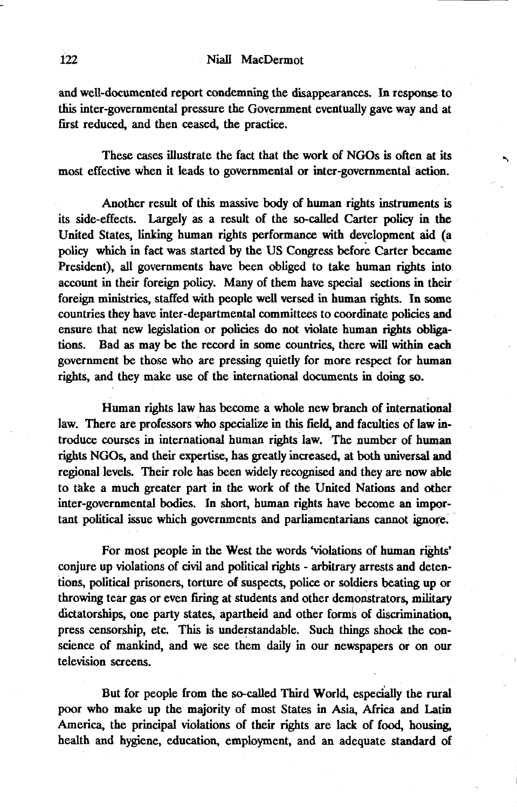and well-documented report condemning the disappearances. In response to this inter-govemmental pressure the Government eventually gave way and at first reduced, and then ceased, the practice.

These cases illustrate the fact that the work of NGOs is often at its most effective when it leads to governmental or inter-governmental action.

Another result of this massive body of human rights instruments is its side-effects. Largely as a result of the so-called Carter policy in the United States, linking human rights performance with development aid (a policy which in fact was started by the US Congress before Carter became President), all governments have been obliged to take human rights into account in their foreign policy. Many of them have special sections in their foreign ministries, staffed with people well versed in human rights. In some countries they have inter-departmental committees to coordinate policies and ensure that new legislation or policies do not violate human rights obligations. Bad as may be the record in some countries, there will within each government be those who are pressing quietly for more respect for human rights, and they make use of the international documents in doing so.

Human rights law has become a whole new branch of international law. There are professors who specialize in this field, and faculties of law introduce courses in international human rights law. The number of human rights NGOs, and their expertise, has greatly increased, at both universal and regional levels. Their role has been widely recognised and they are now able to take a much greater part in the work of the United Nations and other inter-governmental bodies. In short, human rights have become an important political issue which governments and parliamentarians cannot ignore.

For most people in the West the words 'violations of human rights' conjure up violations of civil and political rights - arbitrary arrests and detentions, political prisoners, torture of suspects, police or soldiers beating up or throwing tear gas or even firing at students and other demonstrators, military dictatorships, one party states, apartheid and other forms of discrimination, press censorship, etc. This is understandable. Such things shock the conscience of mankind, and we see them daily in our newspapers or on our television screens.

But for people from the so-called Third World, especially the rural poor who make up the majority of most States in Asia, Africa and Latin America, the principal violations of their rights are lack of food, housing, health and hygiene, education, employment, and an adequate standard of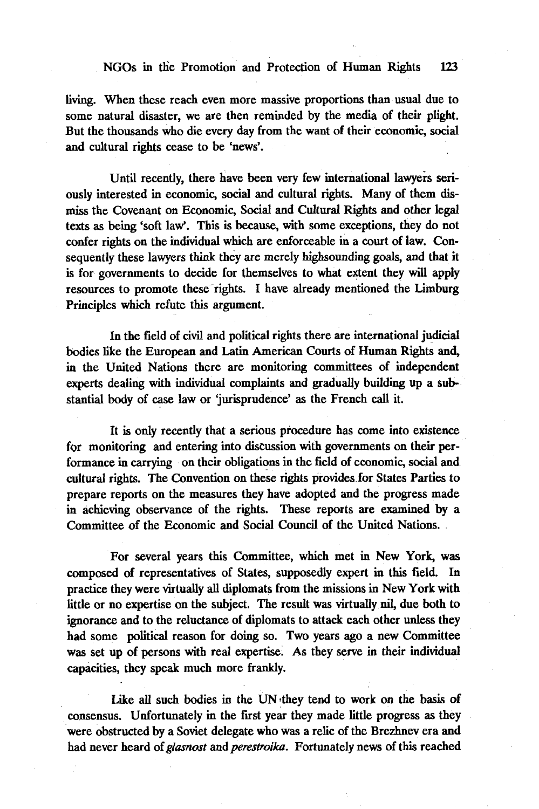living. When these reach even more massive proportions than usual due to some natural disaster, we are then reminded by the media of their plight. But the thousands who die every day from the want of their economic, social and cultural rights cease to be 'news'.

Until recently, there have been very few international lawyers seriously interested in economic, social and cultural rights. Many of them dismiss the Covenant on Economic, Social and Cultural Rights and other legal texts as being 'soft law'. This is because, with some exceptions, they do not confer rights on the individual which are enforceable in a court of law. Consequently these lawyers think they are merely highsounding goals, and that it is for governments to decide for themselves to what extent they will apply resources to promote these rights. I have already mentioned the Limburg Principles which refute this argument.

In the field of civil and political rights there are international judicial bodies like the European and Latin American Courts of Human Rights and, in the United Nations there are monitoring committees of independent experts dealing with individual complaints and gradually building up a substantial body of case law or 'jurisprudence' as the French call it.

It is only recently that a serious procedure has come into existence for monitoring and entering into discussion with governments on their performance in carrying on their obligations in the field of economic, social and cultural rights. The Convention on these rights provides for States Parties to prepare reports on the measures they have adopted and the progress made in achieving observance of the rights. These reports are examined by a Committee of the Economic and Social Council of the United Nations.

For several years this Committee, which met in New York, was composed of representatives of States, supposedly expert in this field. In practice they were virtually all diplomats from the missions in New York with little or no expertise on the subject. The result was virtually nil, due both to ignorance and to the reluctance of diplomats to attack each other unless they had some political reason for doing so. Two years ago a new Committee was set up of persons with real expertise. As they serve in their individual capacities, they speak much more frankly.

Like all such bodies in the UN they tend to work on the basis of consensus. Unfortunately in the first year they made little progress as they were obstructed by a Soviet delegate who was a relic of the Brezhnev era and had never heard of *glasnost* and *perestroika.* Fortunately news of this reached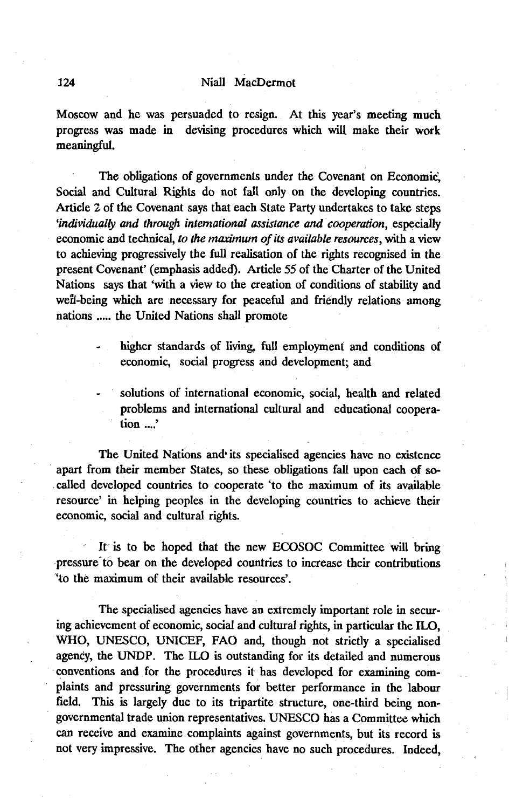Moscow and he was persuaded to resign. At this year's meeting much progress was made in devising procedures which will make their work meaningful.

The obligations of governments under the Covenant on Economic, Social and Cultural Rights do not fall only on the developing countries. Article 2 of the Covenant says that each State Party undertakes to take steps *'individually and through international assistance and cooperation,* especially economic and technical, *to the maximum of its available resources*, with a view to achieving progressively the full realisation of the rights recognised in the present Covenant' (emphasis added). Article 55 of the Charter of the United Nations says that 'with a view to the creation of conditions of stability and wefl-being which are necessary for peaceful and friendly relations among nations ..... the United Nations shall promote

- higher standards of living, full employment and conditions of economic, social progress and development; and
	- solutions of international economic, social, health and related problems and international cultural and educational cooperation ....'

The United Nations and its specialised agencies have no existence apart from their member States, so these obligations fall upon each of socalled developed countries to cooperate 'to the maximum of its available resource' in helping peoples in the developing countries to achieve their economic, social and cultural rights.

It is to be hoped that the new ECOSOC Committee will bring pressure'to bear on the developed countries to increase their contributions 'to the maximum of their available resources'.

The specialised agencies have an extremely important role in securing achievement of economic, social and cultural rights, in particular the ILO, WHO, UNESCO, UNICEF, FAO and, though not strictly a specialised agency, the UNDP. The ILO is outstanding for its detailed and numerous conventions and for the procedures it has developed for examining complaints and pressuring governments for better performance in the labour field. This is largely due to its tripartite structure, one-third being nongovernmental trade union representatives. UNESCO has a Committee which can receive and examine complaints against governments, but its record is not very impressive. The other agencies have no such procedures. Indeed,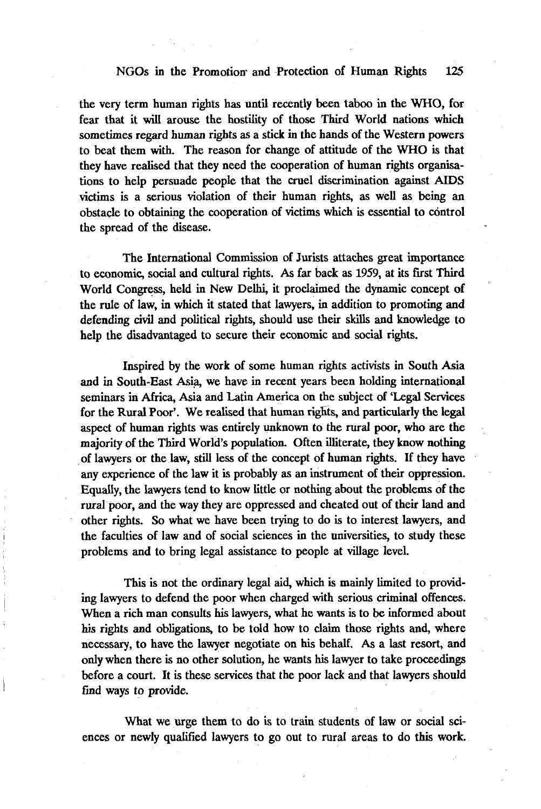the very term human rights has until recently been taboo in the WHO, for fear that it will arouse the hostility of those Third World nations which sometimes regard human rights as a stick in the hands of the Western powers to beat them with. The reason for change of attitude of the WHO is that they have realised that they need the cooperation of human rights organisations to help persuade people that the cruel discrimination against AIDS victims is a serious violation of their human rights, as well as being an obstacle to obtaining the cooperation of victims which is essential to control the spread of the disease.

The International Commission of Jurists attaches great importance to economic, social and cultural rights. As far back as 1959, at its first Third World Congress, held in New Delhi, it proclaimed the dynamic concept of the rule of law, in which it stated that lawyers, in addition to promoting and defending civil and political rights, should use their skills and knowledge to help the disadvantaged to secure their economic and social rights.

Inspired by the work of some human rights activists in South Asia and in South-East Asia, we have in recent years been holding international seminars in Africa, Asia and Latin America on the subject of 'Legal Services for the Rural Poor'. We realised that human rights, and particularly the legal aspect of human rights was entirely unknown to the rural poor, who are the majority of the Third World's population. Often illiterate, they know nothing of lawyers or the law, still less of the concept of human rights. If they have any experience of the law it is probably as an instrument of their oppression. Equally, the lawyers tend to know little or nothing about the problems of the rural poor, and the way they are oppressed and cheated out of their land and other rights. So what we have been trying to do is to interest lawyers, and the faculties of law and of social sciences in the universities, to study these problems and to bring legal assistance to people at village level.

This is not the ordinary legal aid, which is mainly limited to providing lawyers to defend the poor when charged with serious criminal offences. When a rich man consults his lawyers, what he wants is to be informed about his rights and obligations, to be told how to claim those rights and, where necessary, to have the lawyer negotiate on his behalf. As a last resort, and only when there is no other solution, he wants his lawyer to take proceedings before a court. It is these services that the poor lack and that lawyers should find ways to provide.

What we urge them to do is to train students of law or social sciences or newly qualified lawyers to go out to rural areas to do this work.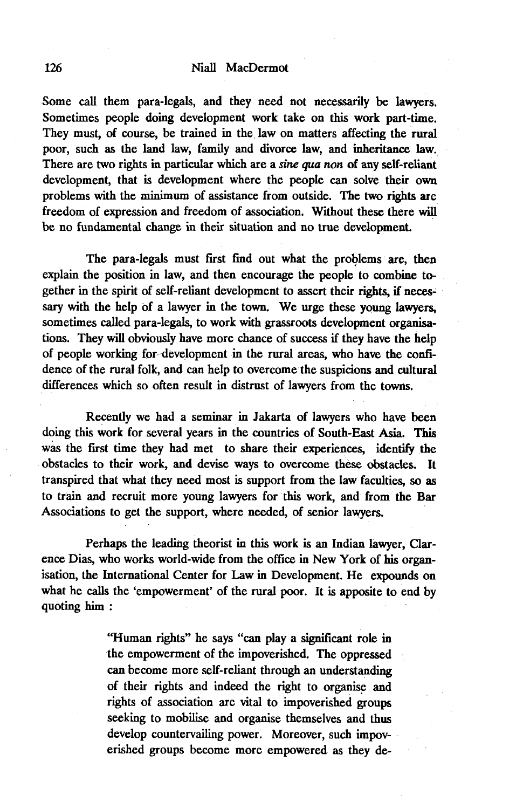Some call them para-legals, and they need not necessarily be lawyers. Sometimes people doing development work take on this work part-time. They must, of course, be trained in the law on matters affecting the rural poor, such as the land law, family and divorce law, and inheritance law. There are two rights in particular which are a *sine qua non* of any self-reliant development, that is development where the people can solve their own problems with the minimum of assistance from outside. The two rights are freedom of expression and freedom of association. Without these there will be no fundamental change in their situation and no true development.

The para-legals must first find out what the problems are, then explain the position in law, and then encourage the people to combine together in the spirit of self-reliant development to assert their rights, if necessary with the help of a lawyer in the town. We urge these young lawyers, sometimes called para-legals, to work with grassroots development organisations. They will obviously have more chance of success if they have the help of people working for development in the rural areas, who have the confidence of the rural folk, and can help to overcome the suspicions and cultural differences which so often result in distrust of lawyers from the towns.

Recently we had a seminar in Jakarta of lawyers who have been doing this work for several years in the countries of South-East Asia. This was the first time they had met to share their experiences, identify the obstacles to their work, and devise ways to overcome these obstacles. It transpired that what they need most is support from the law faculties, so as to train and recruit more young lawyers for this work, and from the Bar Associations to get the support, where needed, of senior lawyers.

Perhaps the leading theorist in this work is an Indian lawyer, Clarence Dias, who works world-wide from the office in New York of his organisation, the International Center for Law in Development. He expounds on what he calls the 'empowerment' of the rural poor. It is apposite to end by quoting him :

> "Human rights" he says "can play a significant role in the empowerment of the impoverished. The oppressed can become more self-reliant through an understanding of their rights and indeed the right to organise and rights of association are vital to impoverished groups seeking to mobilise and organise themselves and thus develop countervailing power. Moreover, such impoverished groups become more empowered as they de-